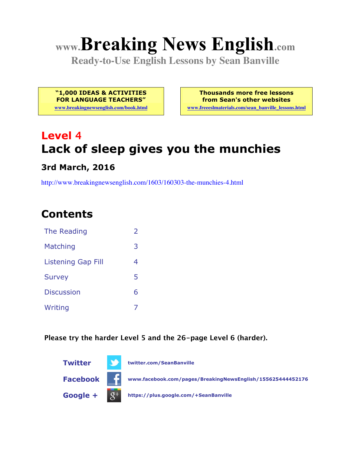# **www.Breaking News English.com**

**Ready-to-Use English Lessons by Sean Banville**

**"1,000 IDEAS & ACTIVITIES FOR LANGUAGE TEACHERS"**

**www.breakingnewsenglish.com/book.html**

**Thousands more free lessons from Sean's other websites www.freeeslmaterials.com/sean\_banville\_lessons.html**

# **Level 4 Lack of sleep gives you the munchies**

#### **3rd March, 2016**

http://www.breakingnewsenglish.com/1603/160303-the-munchies-4.html

# **Contents**

| The Reading               | フ |
|---------------------------|---|
| Matching                  | 3 |
| <b>Listening Gap Fill</b> | 4 |
| <b>Survey</b>             | 5 |
| <b>Discussion</b>         | 6 |
| Writing                   |   |

**Please try the harder Level 5 and the 26-page Level 6 (harder).**

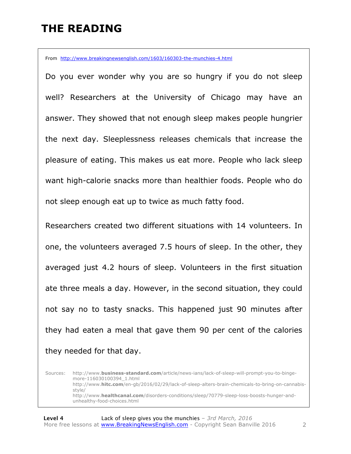### **THE READING**

From http://www.breakingnewsenglish.com/1603/160303-the-munchies-4.html

Do you ever wonder why you are so hungry if you do not sleep well? Researchers at the University of Chicago may have an answer. They showed that not enough sleep makes people hungrier the next day. Sleeplessness releases chemicals that increase the pleasure of eating. This makes us eat more. People who lack sleep want high-calorie snacks more than healthier foods. People who do not sleep enough eat up to twice as much fatty food.

Researchers created two different situations with 14 volunteers. In one, the volunteers averaged 7.5 hours of sleep. In the other, they averaged just 4.2 hours of sleep. Volunteers in the first situation ate three meals a day. However, in the second situation, they could not say no to tasty snacks. This happened just 90 minutes after they had eaten a meal that gave them 90 per cent of the calories they needed for that day.

Sources: http://www.**business-standard.com**/article/news-ians/lack-of-sleep-will-prompt-you-to-bingemore-116030100394\_1.html http://www.**hitc.com**/en-gb/2016/02/29/lack-of-sleep-alters-brain-chemicals-to-bring-on-cannabisstyle/ http://www.**healthcanal.com**/disorders-conditions/sleep/70779-sleep-loss-boosts-hunger-andunhealthy-food-choices.html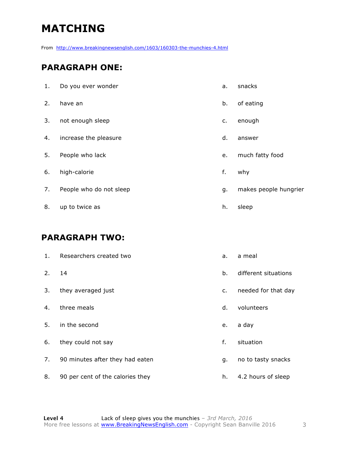# **MATCHING**

From http://www.breakingnewsenglish.com/1603/160303-the-munchies-4.html

#### **PARAGRAPH ONE:**

| 1. | Do you ever wonder      | a. | snacks                |
|----|-------------------------|----|-----------------------|
| 2. | have an                 | b. | of eating             |
| 3. | not enough sleep        | c. | enough                |
| 4. | increase the pleasure   | d. | answer                |
| 5. | People who lack         | e. | much fatty food       |
| 6. | high-calorie            | f. | why                   |
| 7. | People who do not sleep | g. | makes people hungrier |
| 8. | up to twice as          | h. | sleep                 |

#### **PARAGRAPH TWO:**

| 1. | Researchers created two          | a. | a meal               |
|----|----------------------------------|----|----------------------|
| 2. | 14                               | b. | different situations |
| 3. | they averaged just               | c. | needed for that day  |
| 4. | three meals                      | d. | volunteers           |
| 5. | in the second                    | e. | a day                |
| 6. | they could not say               | f. | situation            |
| 7. | 90 minutes after they had eaten  | g. | no to tasty snacks   |
| 8. | 90 per cent of the calories they | h. | 4.2 hours of sleep   |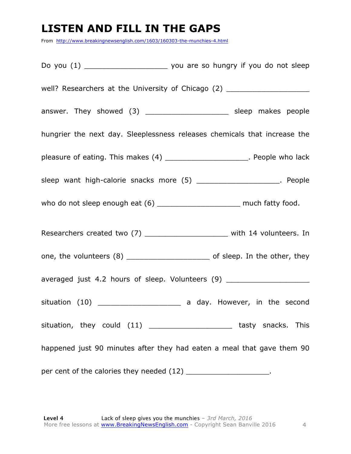# **LISTEN AND FILL IN THE GAPS**

From http://www.breakingnewsenglish.com/1603/160303-the-munchies-4.html

Do you (1) \_\_\_\_\_\_\_\_\_\_\_\_\_\_\_\_\_\_\_ you are so hungry if you do not sleep well? Researchers at the University of Chicago (2) answer. They showed (3) \_\_\_\_\_\_\_\_\_\_\_\_\_\_\_\_\_\_\_\_\_\_\_ sleep makes people hungrier the next day. Sleeplessness releases chemicals that increase the pleasure of eating. This makes (4) \_\_\_\_\_\_\_\_\_\_\_\_\_\_\_\_\_\_\_\_\_\_. People who lack sleep want high-calorie snacks more (5) \_\_\_\_\_\_\_\_\_\_\_\_\_\_\_\_\_\_\_\_\_\_. People who do not sleep enough eat (6) \_\_\_\_\_\_\_\_\_\_\_\_\_\_\_\_\_\_\_\_\_\_\_ much fatty food. Researchers created two (7) and the second with 14 volunteers. In one, the volunteers (8) \_\_\_\_\_\_\_\_\_\_\_\_\_\_\_\_\_\_\_ of sleep. In the other, they averaged just 4.2 hours of sleep. Volunteers (9) \_\_\_\_\_\_\_\_\_\_\_\_\_\_\_\_\_\_\_\_\_\_\_\_\_\_\_\_\_\_\_ situation (10) \_\_\_\_\_\_\_\_\_\_\_\_\_\_\_\_\_\_\_\_\_\_\_ a day. However, in the second situation, they could (11) \_\_\_\_\_\_\_\_\_\_\_\_\_\_\_\_\_\_\_\_\_\_\_\_tasty snacks. This happened just 90 minutes after they had eaten a meal that gave them 90 per cent of the calories they needed (12) \_\_\_\_\_\_\_\_\_\_\_\_\_\_\_\_\_\_\_\_\_.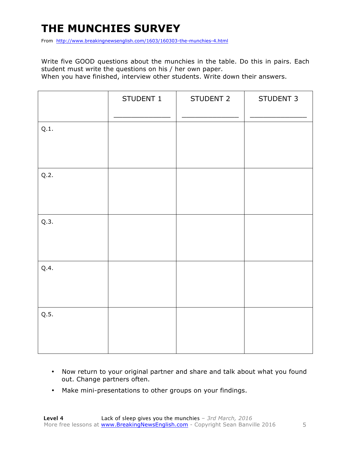# **THE MUNCHIES SURVEY**

From http://www.breakingnewsenglish.com/1603/160303-the-munchies-4.html

Write five GOOD questions about the munchies in the table. Do this in pairs. Each student must write the questions on his / her own paper.

When you have finished, interview other students. Write down their answers.

|      | STUDENT 1 | STUDENT 2 | STUDENT 3 |
|------|-----------|-----------|-----------|
| Q.1. |           |           |           |
| Q.2. |           |           |           |
| Q.3. |           |           |           |
| Q.4. |           |           |           |
| Q.5. |           |           |           |

- Now return to your original partner and share and talk about what you found out. Change partners often.
- Make mini-presentations to other groups on your findings.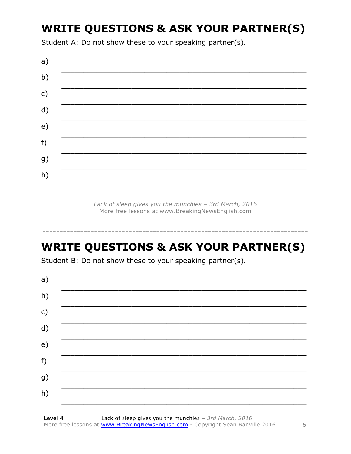# **WRITE QUESTIONS & ASK YOUR PARTNER(S)**

Student A: Do not show these to your speaking partner(s).



Lack of sleep gives you the munchies - 3rd March, 2016 More free lessons at www.BreakingNewsEnglish.com

# **WRITE QUESTIONS & ASK YOUR PARTNER(S)**

Student B: Do not show these to your speaking partner(s).